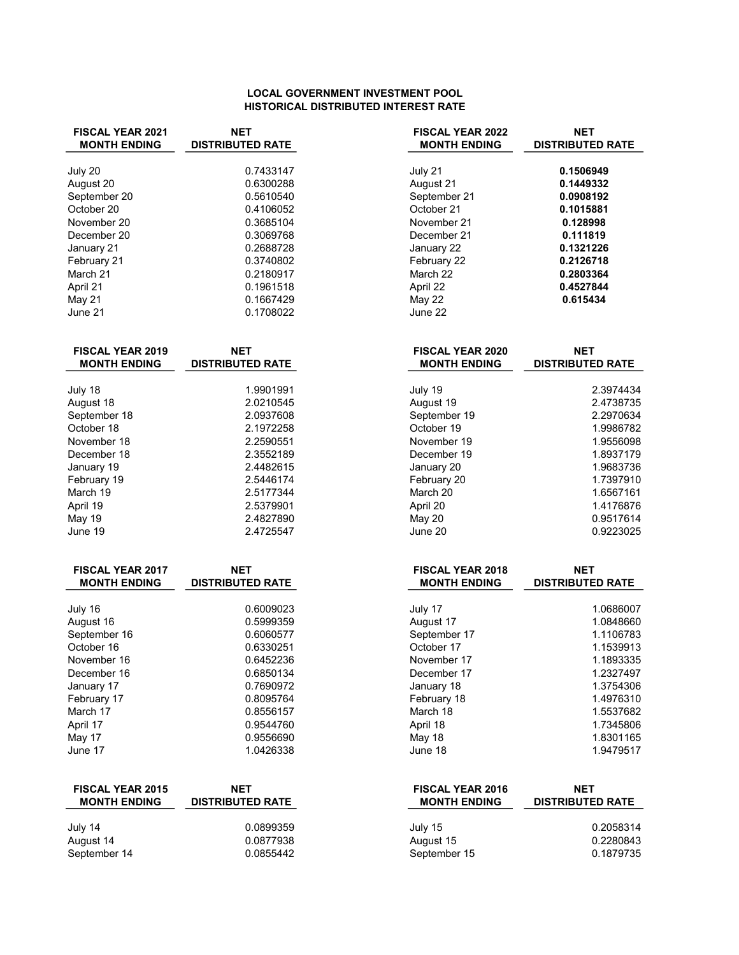| <b>FISCAL YEAR 2021</b><br><b>MONTH ENDING</b> | <b>NET</b><br><b>DISTRIBUTED RATE</b> | <b>FISCAL YEAR 2022</b><br><b>MONTH ENDING</b> | <b>NET</b><br><b>DISTRIBUTED RATE</b> |
|------------------------------------------------|---------------------------------------|------------------------------------------------|---------------------------------------|
| July 20<br>August 20<br>September 20           | 0.7433147<br>0.6300288<br>0.5610540   | July 21<br>August 21<br>September 21           | 0.1506949<br>0.1449332<br>0.0908192   |
| October 20                                     | 0.4106052                             | October 21                                     | 0.1015881                             |
| November 20                                    | 0.3685104                             | November 21                                    | 0.128998                              |
| December 20                                    | 0.3069768                             | December 21                                    | 0.111819                              |
| January 21                                     | 0.2688728                             | January 22                                     | 0.1321226                             |
| February 21                                    | 0.3740802                             | February 22                                    | 0.2126718                             |
| March 21                                       | 0.2180917                             | March 22                                       | 0.2803364                             |
| April 21                                       | 0.1961518                             | April 22                                       | 0.4527844                             |
| May 21                                         | 0.1667429                             | May 22                                         | 0.615434                              |
| June 21                                        | 0.1708022                             | June 22                                        |                                       |
| <b>FISCAL YEAR 2019</b><br><b>MONTH ENDING</b> | <b>NET</b><br><b>DISTRIBUTED RATE</b> | <b>FISCAL YEAR 2020</b><br><b>MONTH ENDING</b> | <b>NET</b><br><b>DISTRIBUTED RATE</b> |
| July 18                                        | 1.9901991                             | July 19                                        | 2.3974434                             |
| August 18                                      | 2.0210545                             | August 19                                      | 2.4738735                             |
| September 18                                   | 2.0937608                             | September 19                                   | 2.2970634                             |
| October 18                                     | 2.1972258                             | October 19                                     | 1.9986782                             |
| November 18                                    | 2.2590551                             | November 19                                    | 1.9556098                             |
| December 18                                    | 2.3552189                             | December 19                                    | 1.8937179                             |
| January 19                                     | 2.4482615                             | January 20                                     | 1.9683736                             |
| February 19                                    | 2.5446174                             | February 20                                    | 1.7397910                             |
| March 19<br>April 19                           | 2.5177344<br>2.5379901                | March 20<br>April 20                           | 1.6567161<br>1.4176876                |
| <b>May 19</b>                                  | 2.4827890                             | May 20                                         | 0.9517614                             |
| June 19                                        | 2.4725547                             | June 20                                        | 0.9223025                             |
| <b>FISCAL YEAR 2017</b><br><b>MONTH ENDING</b> | <b>NET</b><br><b>DISTRIBUTED RATE</b> | <b>FISCAL YEAR 2018</b><br><b>MONTH ENDING</b> | <b>NET</b><br><b>DISTRIBUTED RATE</b> |
| July 16                                        | 0.6009023                             | July 17                                        | 1.0686007                             |
| August 16                                      | 0.5999359                             | August 17                                      | 1.0848660                             |
| September 16                                   | 0.6060577                             | September 17                                   | 1.1106783                             |
| October 16                                     | 0.6330251                             | October 17                                     | 1.1539913                             |
| November 16                                    | 0.6452236                             | November 17                                    | 1.1893335                             |
| December 16                                    | 0.6850134                             | December 17                                    | 1.2327497                             |
| January 17                                     | 0.7690972                             | January 18                                     | 1.3754306                             |
| February 17                                    | 0.8095764                             | February 18                                    | 1.4976310                             |
| March 17<br>April 17                           | 0.8556157<br>0.9544760                | March 18<br>April 18                           | 1.5537682<br>1.7345806                |
| May 17                                         | 0.9556690                             | May 18                                         | 1.8301165                             |
| June 17                                        | 1.0426338                             | June 18                                        | 1.9479517                             |
| <b>FISCAL YEAR 2015</b><br><b>MONTH ENDING</b> | <b>NET</b><br><b>DISTRIBUTED RATE</b> | <b>FISCAL YEAR 2016</b><br><b>MONTH ENDING</b> | <b>NET</b><br><b>DISTRIBUTED RATE</b> |
| July 14                                        | 0.0899359                             | July 15                                        | 0.2058314                             |
| August 14                                      | 0.0877938                             | August 15                                      | 0.2280843                             |
| September 14                                   | 0.0855442                             | September 15                                   | 0.1879735                             |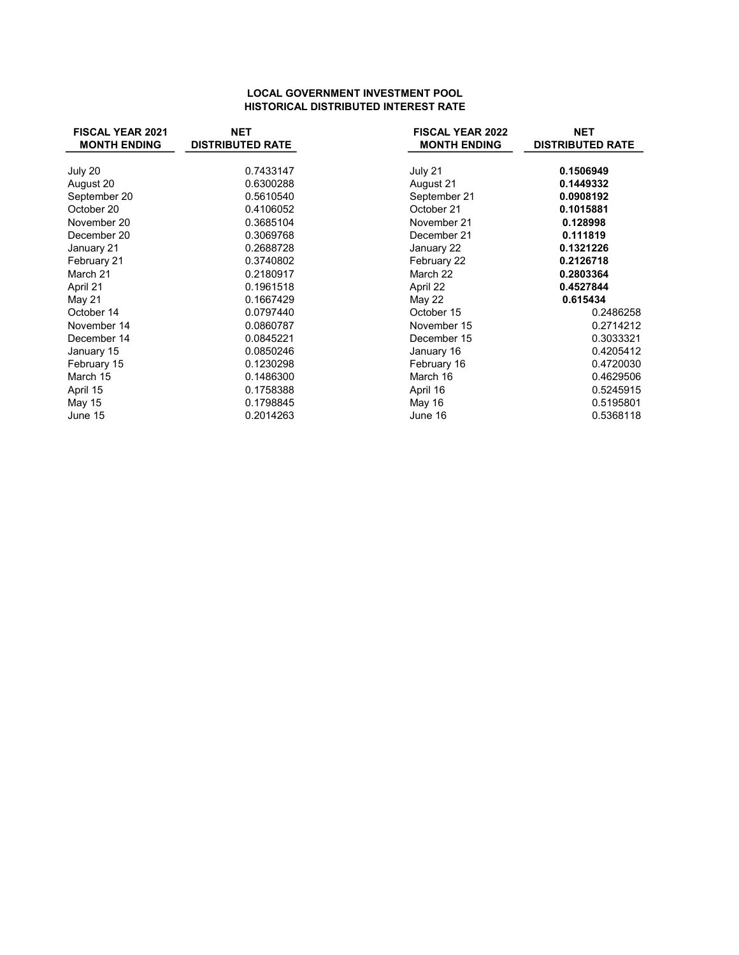| <b>FISCAL YEAR 2021</b><br><b>MONTH ENDING</b> | <b>NET</b><br><b>DISTRIBUTED RATE</b> | <b>FISCAL YEAR 2022</b><br><b>MONTH ENDING</b> | <b>NET</b><br><b>DISTRIBUTED RATE</b> |
|------------------------------------------------|---------------------------------------|------------------------------------------------|---------------------------------------|
| July 20                                        | 0.7433147                             | July 21                                        | 0.1506949                             |
| August 20                                      | 0.6300288                             | August 21                                      | 0.1449332                             |
| September 20                                   | 0.5610540                             | September 21                                   | 0.0908192                             |
| October 20                                     | 0.4106052                             | October 21                                     | 0.1015881                             |
| November 20                                    | 0.3685104                             | November 21                                    | 0.128998                              |
| December 20                                    | 0.3069768                             | December 21                                    | 0.111819                              |
| January 21                                     | 0.2688728                             | January 22                                     | 0.1321226                             |
| February 21                                    | 0.3740802                             | February 22                                    | 0.2126718                             |
| March 21                                       | 0.2180917                             | March 22                                       | 0.2803364                             |
| April 21                                       | 0.1961518                             | April 22                                       | 0.4527844                             |
| May 21                                         | 0.1667429                             | May 22                                         | 0.615434                              |
| October 14                                     | 0.0797440                             | October 15                                     | 0.2486258                             |
| November 14                                    | 0.0860787                             | November 15                                    | 0.2714212                             |
| December 14                                    | 0.0845221                             | December 15                                    | 0.3033321                             |
| January 15                                     | 0.0850246                             | January 16                                     | 0.4205412                             |
| February 15                                    | 0.1230298                             | February 16                                    | 0.4720030                             |
| March 15                                       | 0.1486300                             | March 16                                       | 0.4629506                             |
| April 15                                       | 0.1758388                             | April 16                                       | 0.5245915                             |
| May 15                                         | 0.1798845                             | May 16                                         | 0.5195801                             |
| June 15                                        | 0.2014263                             | June 16                                        | 0.5368118                             |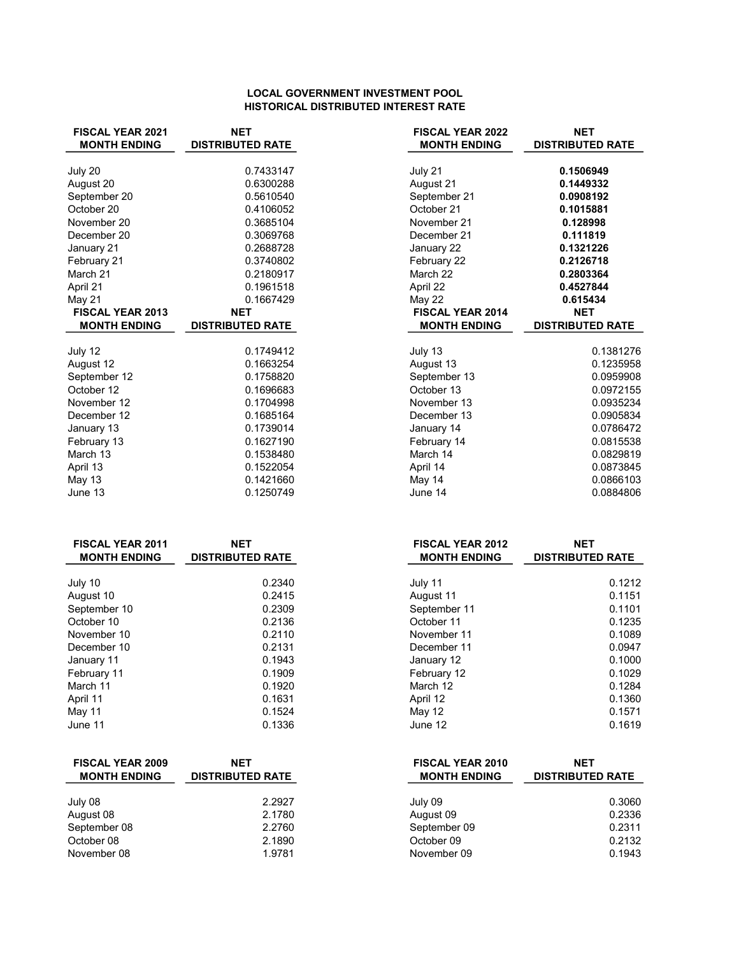| <b>FISCAL YEAR 2021</b><br><b>MONTH ENDING</b> | <b>NET</b><br><b>DISTRIBUTED RATE</b> | <b>FISCAL YEAR 2022</b><br><b>MONTH ENDING</b> | <b>NET</b><br><b>DISTRIBUTED RATE</b> |
|------------------------------------------------|---------------------------------------|------------------------------------------------|---------------------------------------|
|                                                |                                       |                                                |                                       |
| July 20                                        | 0.7433147                             | July 21                                        | 0.1506949                             |
| August 20                                      | 0.6300288                             | August 21                                      | 0.1449332                             |
| September 20                                   | 0.5610540                             | September 21                                   | 0.0908192                             |
| October 20                                     | 0.4106052                             | October 21                                     | 0.1015881                             |
| November 20                                    | 0.3685104                             | November 21                                    | 0.128998                              |
| December 20                                    | 0.3069768                             | December 21                                    | 0.111819                              |
| January 21                                     | 0.2688728                             | January 22                                     | 0.1321226                             |
| February 21                                    | 0.3740802                             | February 22                                    | 0.2126718                             |
| March 21                                       | 0.2180917                             | March 22                                       | 0.2803364                             |
| April 21                                       | 0.1961518                             | April 22                                       | 0.4527844                             |
| May 21                                         | 0.1667429                             | <b>May 22</b>                                  | 0.615434                              |
| <b>FISCAL YEAR 2013</b>                        | <b>NET</b>                            | <b>FISCAL YEAR 2014</b>                        | <b>NET</b>                            |
| <b>MONTH ENDING</b>                            | <b>DISTRIBUTED RATE</b>               | <b>MONTH ENDING</b>                            | <b>DISTRIBUTED RATE</b>               |
|                                                |                                       |                                                |                                       |
| July 12                                        | 0.1749412                             | July 13                                        | 0.1381276                             |
| August 12                                      | 0.1663254                             | August 13                                      | 0.1235958                             |
| September 12                                   | 0.1758820                             | September 13                                   | 0.0959908                             |
| October 12                                     | 0.1696683                             | October 13                                     | 0.0972155                             |
| November 12                                    | 0.1704998                             | November 13                                    | 0.0935234                             |
| December 12                                    | 0.1685164                             | December 13                                    | 0.0905834                             |
| January 13                                     | 0.1739014                             | January 14                                     | 0.0786472                             |
| February 13                                    | 0.1627190                             | February 14                                    | 0.0815538                             |
| March 13                                       | 0.1538480                             | March 14                                       | 0.0829819                             |
| April 13                                       | 0.1522054                             | April 14                                       | 0.0873845                             |
| <b>May 13</b>                                  | 0.1421660                             | May 14                                         | 0.0866103                             |
| June 13                                        | 0.1250749                             | June 14                                        | 0.0884806                             |

| <b>FISCAL YEAR 2011</b><br><b>MONTH ENDING</b> | <b>NET</b><br><b>DISTRIBUTED RATE</b> | <b>FISCAL YEAR 2012</b><br><b>MONTH ENDING</b> | <b>NET</b><br><b>DISTRIBUTE</b> |
|------------------------------------------------|---------------------------------------|------------------------------------------------|---------------------------------|
| July 10                                        | 0.2340                                | July 11                                        |                                 |
| August 10                                      | 0.2415                                | August 11                                      |                                 |
| September 10                                   | 0.2309                                | September 11                                   |                                 |
| October 10                                     | 0.2136                                | October 11                                     |                                 |
| November 10                                    | 0.2110                                | November 11                                    |                                 |
| December 10                                    | 0.2131                                | December 11                                    |                                 |
| January 11                                     | 0.1943                                | January 12                                     |                                 |
| February 11                                    | 0.1909                                | February 12                                    |                                 |
| March 11                                       | 0.1920                                | March 12                                       |                                 |
| April 11                                       | 0.1631                                | April 12                                       |                                 |
| May 11                                         | 0.1524                                | May 12                                         |                                 |
| June 11                                        | 0.1336                                | June 12                                        |                                 |

| <b>FISCAL YEAR 2009</b><br><b>MONTH ENDING</b> | <b>NET</b><br><b>DISTRIBUTED RATE</b> | <b>FISCAL YEAR 2010</b><br><b>MONTH ENDING</b><br><b>DISTRIBUTE</b> |  |
|------------------------------------------------|---------------------------------------|---------------------------------------------------------------------|--|
| July 08                                        | 2.2927                                | July 09                                                             |  |
| August 08                                      | 2.1780                                | August 09                                                           |  |
| September 08                                   | 2.2760                                | September 09                                                        |  |
| October 08                                     | 2.1890                                | October 09                                                          |  |
| November 08                                    | 1.9781                                | November 09                                                         |  |

| <b>FISCAL YEAR 2021</b><br><b>MONTH ENDING</b> | <b>NET</b><br><b>DISTRIBUTED RATE</b> | <b>FISCAL YEAR 2022</b><br><b>MONTH ENDING</b> | <b>NET</b><br><b>DISTRIBUTED RATE</b> |
|------------------------------------------------|---------------------------------------|------------------------------------------------|---------------------------------------|
|                                                | 0.7433147                             |                                                | 0.1506949                             |
| July 20                                        |                                       | July 21                                        |                                       |
| August 20                                      | 0.6300288                             | August 21                                      | 0.1449332                             |
| September 20                                   | 0.5610540                             | September 21                                   | 0.0908192                             |
| October 20                                     | 0.4106052                             | October 21                                     | 0.1015881                             |
| November 20                                    | 0.3685104                             | November 21                                    | 0.128998                              |
| December 20                                    | 0.3069768                             | December 21                                    | 0.111819                              |
| January 21                                     | 0.2688728                             | January 22                                     | 0.1321226                             |
| February 21                                    | 0.3740802                             | February 22                                    | 0.2126718                             |
| March 21                                       | 0.2180917                             | March 22                                       | 0.2803364                             |
| April 21                                       | 0.1961518                             | April 22                                       | 0.4527844                             |
| May 21                                         | 0.1667429                             | May 22                                         | 0.615434                              |
| <b>FISCAL YEAR 2013</b>                        | <b>NET</b>                            | <b>FISCAL YEAR 2014</b>                        | <b>NET</b>                            |
| <b>MONTH ENDING</b>                            | <b>DISTRIBUTED RATE</b>               | <b>MONTH ENDING</b>                            | <b>DISTRIBUTED RATE</b>               |
| July 12                                        | 0.1749412                             | July 13                                        | 0.1381276                             |
| August 12                                      | 0.1663254                             | August 13                                      | 0.1235958                             |
| September 12                                   | 0.1758820                             | September 13                                   | 0.0959908                             |
| October 12                                     | 0.1696683                             | October 13                                     | 0.0972155                             |
| November 12                                    | 0.1704998                             | November 13                                    | 0.0935234                             |
| December 12                                    | 0.1685164                             | December 13                                    |                                       |
|                                                |                                       |                                                | 0.0905834                             |
| January 13                                     | 0.1739014                             | January 14                                     | 0.0786472                             |
| February 13                                    | 0.1627190                             | February 14                                    | 0.0815538                             |
| March 13                                       | 0.1538480                             | March 14                                       | 0.0829819                             |
| April 13                                       | 0.1522054                             | April 14                                       | 0.0873845                             |
| May 13                                         | 0.1421660                             | May 14                                         | 0.0866103                             |
|                                                |                                       |                                                | 0.0001000                             |

| <b>NET</b><br><b>DISTRIBUTED RATE</b> | <b>FISCAL YEAR 2012</b><br><b>MONTH ENDING</b> | <b>NET</b><br><b>DISTRIBUTED RATE</b> |
|---------------------------------------|------------------------------------------------|---------------------------------------|
|                                       |                                                | 0.1212                                |
| 0.2415                                | August 11                                      | 0.1151                                |
| 0.2309                                | September 11                                   | 0.1101                                |
| 0.2136                                | October 11                                     | 0.1235                                |
| 0.2110                                | November 11                                    | 0.1089                                |
| 0.2131                                | December 11                                    | 0.0947                                |
| 0.1943                                | January 12                                     | 0.1000                                |
| 0.1909                                | February 12                                    | 0.1029                                |
| 0.1920                                | March 12                                       | 0.1284                                |
| 0.1631                                | April 12                                       | 0.1360                                |
| 0.1524                                | May 12                                         | 0.1571                                |
| 0.1336                                | June 12                                        | 0.1619                                |
|                                       | 0.2340                                         | July 11                               |

| <b>FISCAL YEAR 2009</b><br><b>MONTH ENDING</b> | <b>NET</b><br><b>DISTRIBUTED RATE</b> | <b>FISCAL YEAR 2010</b><br><b>MONTH ENDING</b> | <b>NET</b><br><b>DISTRIBUTED RATE</b> |
|------------------------------------------------|---------------------------------------|------------------------------------------------|---------------------------------------|
| July 08                                        | 2.2927                                | July 09                                        | 0.3060                                |
| August 08                                      | 2.1780                                | August 09                                      | 0.2336                                |
| September 08                                   | 2.2760                                | September 09                                   | 0.2311                                |
| October 08                                     | 2.1890                                | October 09                                     | 0.2132                                |
| November 08                                    | 1.9781                                | November 09                                    | 0.1943                                |
|                                                |                                       |                                                |                                       |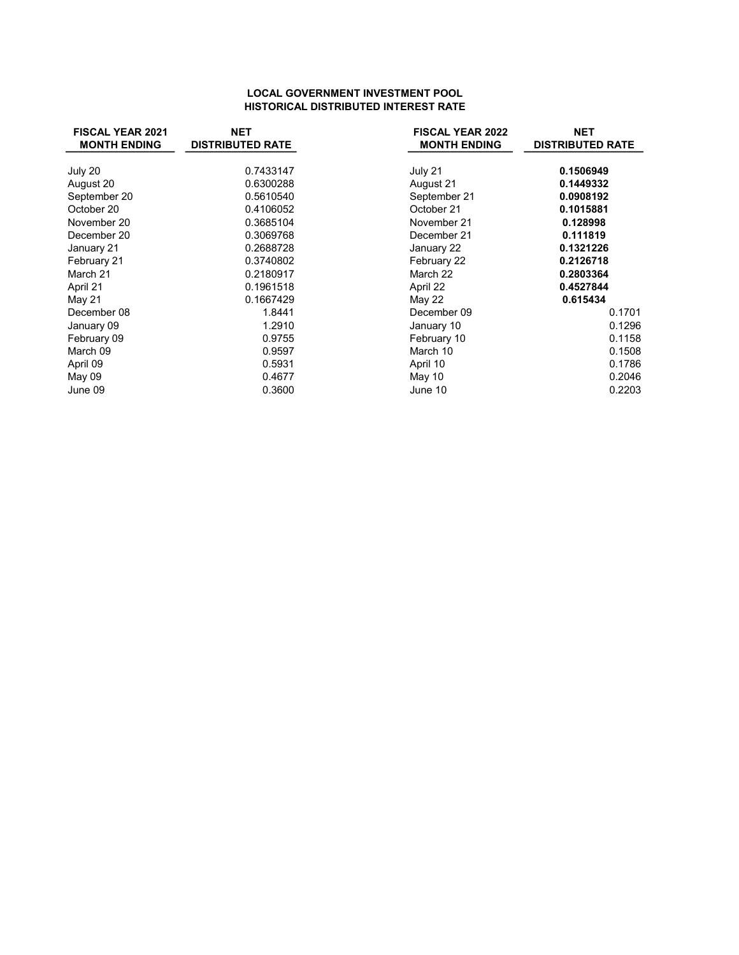| <b>FISCAL YEAR 2021</b><br><b>MONTH ENDING</b> | <b>NET</b><br><b>DISTRIBUTED RATE</b> | <b>FISCAL YEAR 2022</b><br><b>MONTH ENDING</b> | <b>NET</b><br><b>DISTRIBUTED RATE</b> |
|------------------------------------------------|---------------------------------------|------------------------------------------------|---------------------------------------|
|                                                |                                       |                                                |                                       |
| July 20                                        | 0.7433147                             | July 21                                        | 0.1506949                             |
| August 20                                      | 0.6300288                             | August 21                                      | 0.1449332                             |
| September 20                                   | 0.5610540                             | September 21                                   | 0.0908192                             |
| October 20                                     | 0.4106052                             | October 21                                     | 0.1015881                             |
| November 20                                    | 0.3685104                             | November 21                                    | 0.128998                              |
| December 20                                    | 0.3069768                             | December 21                                    | 0.111819                              |
| January 21                                     | 0.2688728                             | January 22                                     | 0.1321226                             |
| February 21                                    | 0.3740802                             | February 22                                    | 0.2126718                             |
| March 21                                       | 0.2180917                             | March 22                                       | 0.2803364                             |
| April 21                                       | 0.1961518                             | April 22                                       | 0.4527844                             |
| May 21                                         | 0.1667429                             | May 22                                         | 0.615434                              |
| December 08                                    | 1.8441                                | December 09                                    | 0.1701                                |
| January 09                                     | 1.2910                                | January 10                                     | 0.1296                                |
| February 09                                    | 0.9755                                | February 10                                    | 0.1158                                |
| March 09                                       | 0.9597                                | March 10                                       | 0.1508                                |
| April 09                                       | 0.5931                                | April 10                                       | 0.1786                                |
| May 09                                         | 0.4677                                | May 10                                         | 0.2046                                |
| June 09                                        | 0.3600                                | June 10                                        | 0.2203                                |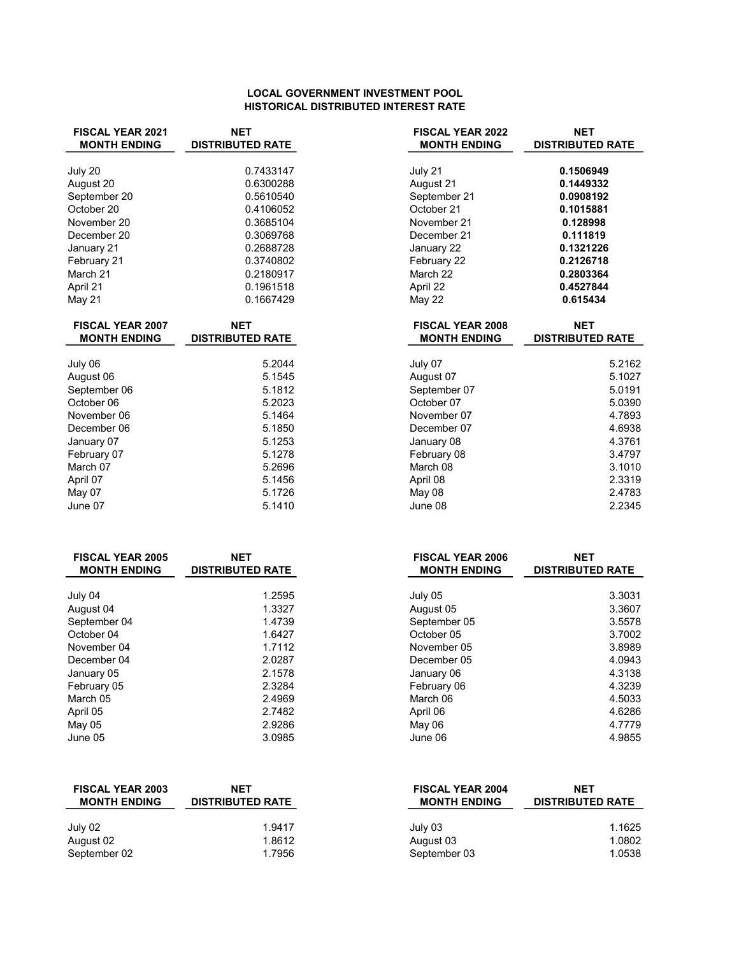| <b>FISCAL YEAR 2021</b><br><b>MONTH ENDING</b> | <b>NET</b><br><b>DISTRIBUTED RATE</b> | <b>FISCAL YEAR 2022</b><br><b>MONTH ENDING</b> | <b>NET</b><br><b>DISTRIBUTED RATE</b> |
|------------------------------------------------|---------------------------------------|------------------------------------------------|---------------------------------------|
|                                                |                                       |                                                |                                       |
| July 20                                        | 0.7433147                             | July 21                                        | 0.1506949                             |
| August 20                                      | 0.6300288                             | August 21                                      | 0.1449332                             |
| September 20                                   | 0.5610540                             | September 21                                   | 0.0908192                             |
| October 20                                     | 0.4106052                             | October 21                                     | 0.1015881                             |
| November 20                                    | 0.3685104                             | November 21                                    | 0.128998                              |
| December 20                                    | 0.3069768                             | December 21                                    | 0.111819                              |
| January 21                                     | 0.2688728                             | January 22                                     | 0.1321226                             |
| February 21                                    | 0.3740802                             | February 22                                    | 0.2126718                             |
| March 21                                       | 0.2180917                             | March 22                                       | 0.2803364                             |
| April 21                                       | 0.1961518                             | April 22                                       | 0.4527844                             |
| <b>May 21</b>                                  | 0.1667429                             | <b>May 22</b>                                  | 0.615434                              |
| <b>FISCAL YEAR 2007</b>                        | <b>NET</b>                            | <b>FISCAL YEAR 2008</b>                        | <b>NET</b>                            |
| <b>MONTH ENDING</b>                            | <b>DISTRIBUTED RATE</b>               | <b>MONTH ENDING</b>                            | <b>DISTRIBUTED RATE</b>               |
| July 06                                        | 5.2044                                | July 07                                        | 5.2162                                |
| August 06                                      | 5.1545                                | August 07                                      | 5.1027                                |
| September 06                                   | 5.1812                                | September 07                                   | 5.0191                                |
| October 06                                     | 5.2023                                | October 07                                     | 5.0390                                |
| November 06                                    | 5.1464                                | November 07                                    | 4.7893                                |
| December 06                                    | 5.1850                                | December 07                                    | 4.6938                                |
| January 07                                     | 5.1253                                | January 08                                     | 4.3761                                |
| February 07                                    | 5.1278                                | February 08                                    | 3.4797                                |
| March 07                                       | 5.2696                                | March 08                                       | 3.1010                                |
| April 07                                       | 5.1456                                | April 08                                       | 2.3319                                |
| May 07                                         | 5.1726                                | May 08                                         | 2.4783                                |
| June 07                                        | 5.1410                                | June 08                                        | 2.2345                                |
| <b>EICOAL VEAD ONAE</b>                        | <b>NICT</b>                           | EICOAL VEAD 2006                               | <b>NET</b>                            |

| <b>NET</b><br><b>DISTRIBUTED RATE</b> | <b>FISCAL YEAR 2006</b><br><b>MONTH ENDING</b> | <b>NET</b><br><b>DISTRIBUTED RATE</b> |
|---------------------------------------|------------------------------------------------|---------------------------------------|
|                                       |                                                | 3.3031                                |
| 1.3327                                |                                                | 3.3607                                |
| 1.4739                                | September 05                                   | 3.5578                                |
| 1.6427                                | October 05                                     | 3.7002                                |
| 1.7112                                | November 05                                    | 3.8989                                |
| 2.0287                                | December 05                                    | 4.0943                                |
| 2.1578                                | January 06                                     | 4.3138                                |
| 2.3284                                | February 06                                    | 4.3239                                |
| 2.4969                                | March 06                                       | 4.5033                                |
| 2.7482                                | April 06                                       | 4.6286                                |
| 2.9286                                | May 06                                         | 4.7779                                |
| 3.0985                                | June 06                                        | 4.9855                                |
|                                       | 1.2595                                         | July 05<br>August 05                  |

| <b>FISCAL YEAR 2005</b><br><b>MONTH ENDING</b> | <b>NET</b><br><b>DISTRIBUTED RATE</b> | <b>FISCAL YEAR 2006</b><br><b>MONTH ENDING</b> | <b>NET</b><br><b>DISTRIBUTED RATE</b> |
|------------------------------------------------|---------------------------------------|------------------------------------------------|---------------------------------------|
| July 04                                        | 1.2595                                | July 05                                        | 3.3031                                |
| August 04                                      | 1.3327                                | August 05                                      | 3.3607                                |
| September 04                                   | 1.4739                                | September 05                                   | 3.5578                                |
| October 04                                     | 1.6427                                | October 05                                     | 3.7002                                |
| November 04                                    | 1.7112                                | November 05                                    | 3.8989                                |
| December 04                                    | 2.0287                                | December 05                                    | 4.0943                                |
| January 05                                     | 2.1578                                | January 06                                     | 4.3138                                |
| February 05                                    | 2.3284                                | February 06                                    | 4.3239                                |
| March 05                                       | 2.4969                                | March 06                                       | 4.5033                                |
| April 05                                       | 2.7482                                | April 06                                       | 4.6286                                |
| May 05                                         | 2.9286                                | May 06                                         | 4.7779                                |
| June 05                                        | 3.0985                                | June 06                                        | 4.9855                                |

| <b>FISCAL YEAR 2003</b> | <b>NET</b>              | <b>FISCAL YEAR 2004</b> | <b>NET</b>              |
|-------------------------|-------------------------|-------------------------|-------------------------|
| <b>MONTH ENDING</b>     | <b>DISTRIBUTED RATE</b> | <b>MONTH ENDING</b>     | <b>DISTRIBUTED RATE</b> |
| July 02                 | 1.9417                  | July 03                 | 1.1625                  |
| August 02               | 1.8612                  | August 03               | 1.0802                  |
| September 02            | 1.7956                  | September 03            | 1.0538                  |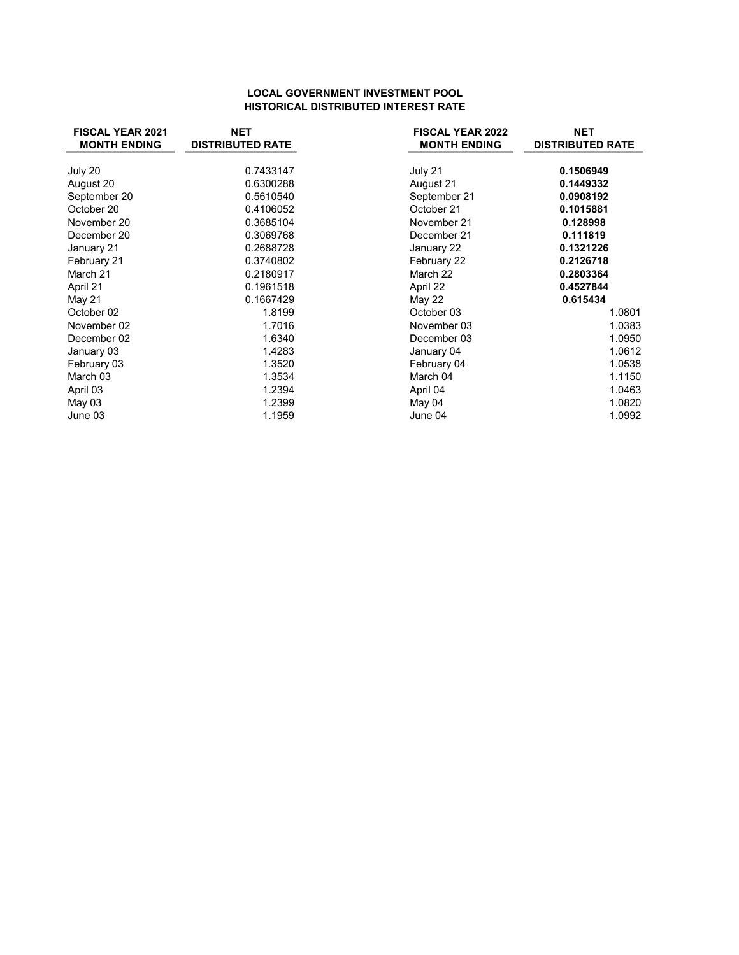| <b>FISCAL YEAR 2021</b><br><b>MONTH ENDING</b> | <b>NET</b><br><b>DISTRIBUTED RATE</b> | <b>FISCAL YEAR 2022</b><br><b>MONTH ENDING</b> | <b>NET</b><br><b>DISTRIBUTED RATE</b> |
|------------------------------------------------|---------------------------------------|------------------------------------------------|---------------------------------------|
| July 20                                        | 0.7433147                             | July 21                                        | 0.1506949                             |
| August 20                                      | 0.6300288                             | August 21                                      | 0.1449332                             |
| September 20                                   | 0.5610540                             | September 21                                   | 0.0908192                             |
| October 20                                     | 0.4106052                             | October 21                                     | 0.1015881                             |
| November 20                                    | 0.3685104                             | November 21                                    | 0.128998                              |
| December 20                                    | 0.3069768                             | December 21                                    | 0.111819                              |
| January 21                                     | 0.2688728                             | January 22                                     | 0.1321226                             |
| February 21                                    | 0.3740802                             | February 22                                    | 0.2126718                             |
| March 21                                       | 0.2180917                             | March 22                                       | 0.2803364                             |
| April 21                                       | 0.1961518                             | April 22                                       | 0.4527844                             |
| May 21                                         | 0.1667429                             | May 22                                         | 0.615434                              |
| October 02                                     | 1.8199                                | October 03                                     | 1.0801                                |
| November 02                                    | 1.7016                                | November 03                                    | 1.0383                                |
| December 02                                    | 1.6340                                | December 03                                    | 1.0950                                |
| January 03                                     | 1.4283                                | January 04                                     | 1.0612                                |
| February 03                                    | 1.3520                                | February 04                                    | 1.0538                                |
| March 03                                       | 1.3534                                | March 04                                       | 1.1150                                |
| April 03                                       | 1.2394                                | April 04                                       | 1.0463                                |
| May $03$                                       | 1.2399                                | May 04                                         | 1.0820                                |
| June 03                                        | 1.1959                                | June 04                                        | 1.0992                                |